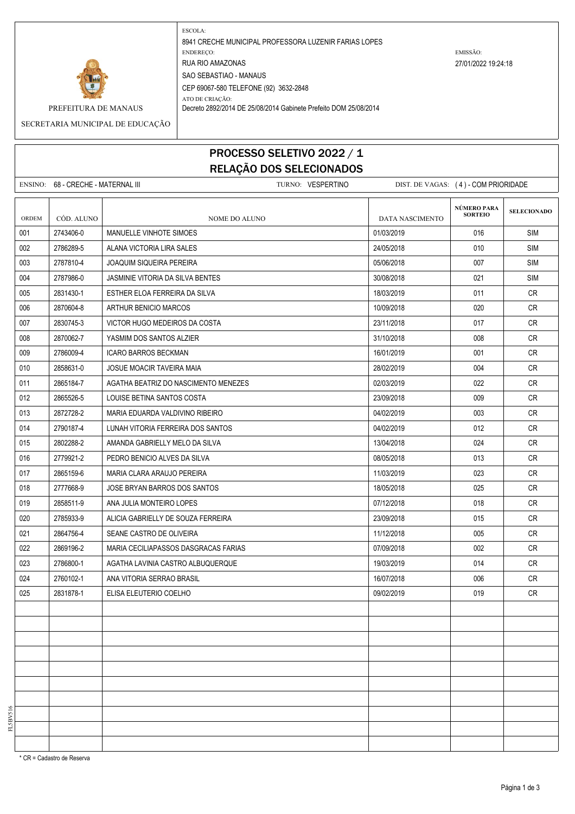

ESCOLA: 8941 CRECHE MUNICIPAL PROFESSORA LUZENIR FARIAS LOPES ENDEREÇO: EMISSÃO: RUA RIO AMAZONAS 27/01/2022 19:24:18 SAO SEBASTIAO - MANAUS CEP 69067-580 TELEFONE (92) 3632-2848 ATO DE CRIAÇÃO:

PREFEITURA DE MANAUS Decreto 2892/2014 DE 25/08/2014 Gabinete Prefeito DOM 25/08/2014

SECRETARIA MUNICIPAL DE EDUCAÇÃO

## PROCESSO SELETIVO 2022 / 1 RELAÇÃO DOS SELECIONADOS

|       | ENSINO: 68 - CRECHE - MATERNAL III |                                      | TURNO: VESPERTINO |                 | DIST. DE VAGAS: (4) - COM PRIORIDADE |                    |
|-------|------------------------------------|--------------------------------------|-------------------|-----------------|--------------------------------------|--------------------|
| ORDEM | CÓD. ALUNO                         | NOME DO ALUNO                        |                   | DATA NASCIMENTO | NÚMERO PARA<br><b>SORTEIO</b>        | <b>SELECIONADO</b> |
| 001   | 2743406-0                          | MANUELLE VINHOTE SIMOES              |                   | 01/03/2019      | 016                                  | <b>SIM</b>         |
| 002   | 2786289-5                          | ALANA VICTORIA LIRA SALES            |                   | 24/05/2018      | 010                                  | SIM                |
| 003   | 2787810-4                          | <b>JOAQUIM SIQUEIRA PEREIRA</b>      |                   | 05/06/2018      | 007                                  | <b>SIM</b>         |
| 004   | 2787986-0                          | JASMINIE VITORIA DA SILVA BENTES     |                   | 30/08/2018      | 021                                  | <b>SIM</b>         |
| 005   | 2831430-1                          | ESTHER ELOA FERREIRA DA SILVA        |                   | 18/03/2019      | 011                                  | CR                 |
| 006   | 2870604-8                          | ARTHUR BENICIO MARCOS                |                   | 10/09/2018      | 020                                  | <b>CR</b>          |
| 007   | 2830745-3                          | VICTOR HUGO MEDEIROS DA COSTA        |                   | 23/11/2018      | 017                                  | <b>CR</b>          |
| 008   | 2870062-7                          | YASMIM DOS SANTOS ALZIER             |                   | 31/10/2018      | 008                                  | <b>CR</b>          |
| 009   | 2786009-4                          | <b>ICARO BARROS BECKMAN</b>          |                   | 16/01/2019      | 001                                  | CR                 |
| 010   | 2858631-0                          | JOSUE MOACIR TAVEIRA MAIA            |                   | 28/02/2019      | 004                                  | <b>CR</b>          |
| 011   | 2865184-7                          | AGATHA BEATRIZ DO NASCIMENTO MENEZES |                   | 02/03/2019      | 022                                  | CR                 |
| 012   | 2865526-5                          | LOUISE BETINA SANTOS COSTA           |                   | 23/09/2018      | 009                                  | CR                 |
| 013   | 2872728-2                          | MARIA EDUARDA VALDIVINO RIBEIRO      |                   | 04/02/2019      | 003                                  | <b>CR</b>          |
| 014   | 2790187-4                          | LUNAH VITORIA FERREIRA DOS SANTOS    |                   | 04/02/2019      | 012                                  | CR                 |
| 015   | 2802288-2                          | AMANDA GABRIELLY MELO DA SILVA       |                   | 13/04/2018      | 024                                  | <b>CR</b>          |
| 016   | 2779921-2                          | PEDRO BENICIO ALVES DA SILVA         |                   | 08/05/2018      | 013                                  | <b>CR</b>          |
| 017   | 2865159-6                          | MARIA CLARA ARAUJO PEREIRA           |                   | 11/03/2019      | 023                                  | <b>CR</b>          |
| 018   | 2777668-9                          | JOSE BRYAN BARROS DOS SANTOS         |                   | 18/05/2018      | 025                                  | <b>CR</b>          |
| 019   | 2858511-9                          | ANA JULIA MONTEIRO LOPES             |                   | 07/12/2018      | 018                                  | <b>CR</b>          |
| 020   | 2785933-9                          | ALICIA GABRIELLY DE SOUZA FERREIRA   |                   | 23/09/2018      | 015                                  | <b>CR</b>          |
| 021   | 2864756-4                          | SEANE CASTRO DE OLIVEIRA             |                   | 11/12/2018      | 005                                  | <b>CR</b>          |
| 022   | 2869196-2                          | MARIA CECILIAPASSOS DASGRACAS FARIAS |                   | 07/09/2018      | 002                                  | CR                 |
| 023   | 2786800-1                          | AGATHA LAVINIA CASTRO ALBUQUERQUE    |                   | 19/03/2019      | 014                                  | <b>CR</b>          |
| 024   | 2760102-1                          | ANA VITORIA SERRAO BRASIL            |                   | 16/07/2018      | 006                                  | <b>CR</b>          |
| 025   | 2831878-1                          | ELISA ELEUTERIO COELHO               |                   | 09/02/2019      | 019                                  | CR                 |
|       |                                    |                                      |                   |                 |                                      |                    |
|       |                                    |                                      |                   |                 |                                      |                    |
|       |                                    |                                      |                   |                 |                                      |                    |
|       |                                    |                                      |                   |                 |                                      |                    |
|       |                                    |                                      |                   |                 |                                      |                    |
|       |                                    |                                      |                   |                 |                                      |                    |
|       |                                    |                                      |                   |                 |                                      |                    |
|       |                                    |                                      |                   |                 |                                      |                    |
|       |                                    |                                      |                   |                 |                                      |                    |
|       |                                    |                                      |                   |                 |                                      |                    |

\* CR = Cadastro de Reserva

FL5BV516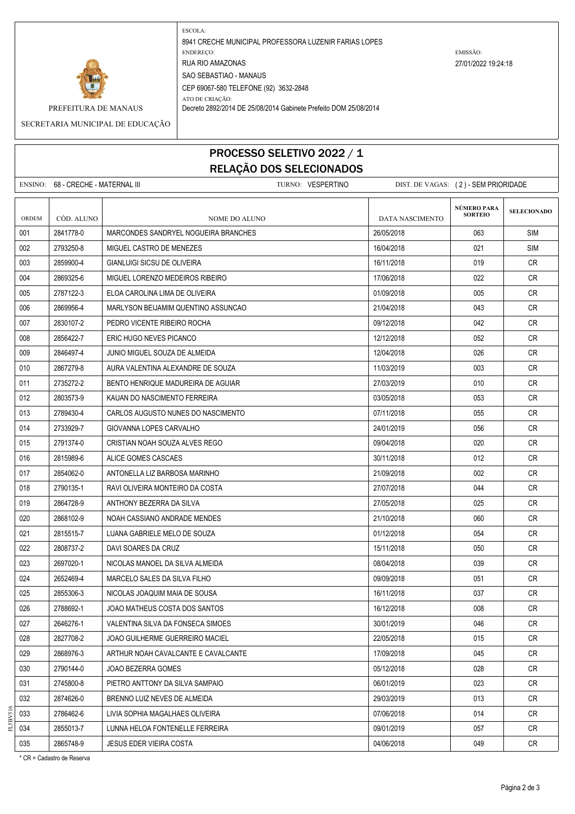

ESCOLA: 8941 CRECHE MUNICIPAL PROFESSORA LUZENIR FARIAS LOPES ENDEREÇO: EMISSÃO: RUA RIO AMAZONAS 27/01/2022 19:24:18 SAO SEBASTIAO - MANAUS CEP 69067-580 TELEFONE (92) 3632-2848

ATO DE CRIAÇÃO:

PREFEITURA DE MANAUS Decreto 2892/2014 DE 25/08/2014 Gabinete Prefeito DOM 25/08/2014

SECRETARIA MUNICIPAL DE EDUCAÇÃO

## PROCESSO SELETIVO 2022 / 1 RELAÇÃO DOS SELECIONADOS

|              | ENSINO: 68 - CRECHE - MATERNAL III |                                      | TURNO: VESPERTINO |                 | DIST. DE VAGAS: (2) - SEM PRIORIDADE |                    |
|--------------|------------------------------------|--------------------------------------|-------------------|-----------------|--------------------------------------|--------------------|
| <b>ORDEM</b> | CÓD. ALUNO                         | NOME DO ALUNO                        |                   | DATA NASCIMENTO | NÚMERO PARA<br><b>SORTEIO</b>        | <b>SELECIONADO</b> |
| 001          | 2841778-0                          | MARCONDES SANDRYEL NOGUEIRA BRANCHES |                   | 26/05/2018      | 063                                  | SIM                |
| 002          | 2793250-8                          | MIGUEL CASTRO DE MENEZES             |                   | 16/04/2018      | 021                                  | SIM                |
| 003          | 2859900-4                          | <b>GIANLUIGI SICSU DE OLIVEIRA</b>   |                   | 16/11/2018      | 019                                  | CR.                |
| 004          | 2869325-6                          | MIGUEL LORENZO MEDEIROS RIBEIRO      |                   | 17/06/2018      | 022                                  | CR                 |
| 005          | 2787122-3                          | ELOA CAROLINA LIMA DE OLIVEIRA       |                   | 01/09/2018      | 005                                  | CR                 |
| 006          | 2869956-4                          | MARLYSON BEIJAMIM QUENTINO ASSUNCAO  |                   | 21/04/2018      | 043                                  | CR.                |
| 007          | 2830107-2                          | PEDRO VICENTE RIBEIRO ROCHA          |                   | 09/12/2018      | 042                                  | CR                 |
| 008          | 2856422-7                          | ERIC HUGO NEVES PICANCO              |                   | 12/12/2018      | 052                                  | CR                 |
| 009          | 2846497-4                          | JUNIO MIGUEL SOUZA DE ALMEIDA        |                   | 12/04/2018      | 026                                  | CR.                |
| 010          | 2867279-8                          | AURA VALENTINA ALEXANDRE DE SOUZA    |                   | 11/03/2019      | 003                                  | <b>CR</b>          |
| 011          | 2735272-2                          | BENTO HENRIQUE MADUREIRA DE AGUIAR   |                   | 27/03/2019      | 010                                  | CR                 |
| 012          | 2803573-9                          | KAUAN DO NASCIMENTO FERREIRA         |                   | 03/05/2018      | 053                                  | CR                 |
| 013          | 2789430-4                          | CARLOS AUGUSTO NUNES DO NASCIMENTO   |                   | 07/11/2018      | 055                                  | <b>CR</b>          |
| 014          | 2733929-7                          | GIOVANNA LOPES CARVALHO              |                   | 24/01/2019      | 056                                  | CR                 |
| 015          | 2791374-0                          | CRISTIAN NOAH SOUZA ALVES REGO       |                   | 09/04/2018      | 020                                  | CR                 |
| 016          | 2815989-6                          | ALICE GOMES CASCAES                  |                   | 30/11/2018      | 012                                  | <b>CR</b>          |
| 017          | 2854062-0                          | ANTONELLA LIZ BARBOSA MARINHO        |                   | 21/09/2018      | 002                                  | CR.                |
| 018          | 2790135-1                          | RAVI OLIVEIRA MONTEIRO DA COSTA      |                   | 27/07/2018      | 044                                  | CR                 |
| 019          | 2864728-9                          | ANTHONY BEZERRA DA SILVA             |                   | 27/05/2018      | 025                                  | CR                 |
| 020          | 2868102-9                          | NOAH CASSIANO ANDRADE MENDES         |                   | 21/10/2018      | 060                                  | CR                 |
| 021          | 2815515-7                          | LUANA GABRIELE MELO DE SOUZA         |                   | 01/12/2018      | 054                                  | CR                 |
| 022          | 2808737-2                          | DAVI SOARES DA CRUZ                  |                   | 15/11/2018      | 050                                  | CR                 |
| 023          | 2697020-1                          | NICOLAS MANOEL DA SILVA ALMEIDA      |                   | 08/04/2018      | 039                                  | CR                 |
| 024          | 2652469-4                          | MARCELO SALES DA SILVA FILHO         |                   | 09/09/2018      | 051                                  | <b>CR</b>          |
| 025          | 2855306-3                          | NICOLAS JOAQUIM MAIA DE SOUSA        |                   | 16/11/2018      | 037                                  | CR                 |
| 026          | 2788692-1                          | JOAO MATHEUS COSTA DOS SANTOS        |                   | 16/12/2018      | 008                                  | <b>CR</b>          |
| 027          | 2646276-1                          | VALENTINA SILVA DA FONSECA SIMOES    |                   | 30/01/2019      | 046                                  | CR                 |
| 028          | 2827708-2                          | JOAO GUILHERME GUERREIRO MACIEL      |                   | 22/05/2018      | 015                                  | CR                 |
| 029          | 2868976-3                          | ARTHUR NOAH CAVALCANTE E CAVALCANTE  |                   | 17/09/2018      | 045                                  | CR                 |
| 030          | 2790144-0                          | JOAO BEZERRA GOMES                   |                   | 05/12/2018      | 028                                  | <b>CR</b>          |
| 031          | 2745800-8                          | PIETRO ANTTONY DA SILVA SAMPAIO      |                   | 06/01/2019      | 023                                  | CR                 |
| 032          | 2874626-0                          | BRENNO LUIZ NEVES DE ALMEIDA         |                   | 29/03/2019      | 013                                  | CR                 |
| 033          | 2786462-6                          | LIVIA SOPHIA MAGALHAES OLIVEIRA      |                   | 07/06/2018      | 014                                  | CR                 |
| 034          | 2855013-7                          | LUNNA HELOA FONTENELLE FERREIRA      |                   | 09/01/2019      | 057                                  | CR                 |
| 035          | 2865748-9                          | <b>JESUS EDER VIEIRA COSTA</b>       |                   | 04/06/2018      | 049                                  | CR                 |

\* CR = Cadastro de Reserva

FL5BV516